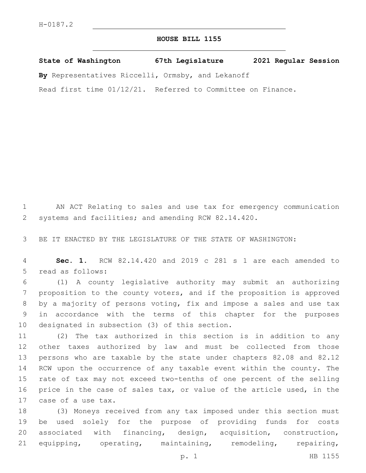## **HOUSE BILL 1155**

**State of Washington 67th Legislature 2021 Regular Session By** Representatives Riccelli, Ormsby, and Lekanoff

Read first time 01/12/21. Referred to Committee on Finance.

 AN ACT Relating to sales and use tax for emergency communication systems and facilities; and amending RCW 82.14.420.

BE IT ENACTED BY THE LEGISLATURE OF THE STATE OF WASHINGTON:

 **Sec. 1.** RCW 82.14.420 and 2019 c 281 s 1 are each amended to 5 read as follows:

 (1) A county legislative authority may submit an authorizing proposition to the county voters, and if the proposition is approved by a majority of persons voting, fix and impose a sales and use tax in accordance with the terms of this chapter for the purposes 10 designated in subsection (3) of this section.

 (2) The tax authorized in this section is in addition to any other taxes authorized by law and must be collected from those persons who are taxable by the state under chapters 82.08 and 82.12 RCW upon the occurrence of any taxable event within the county. The rate of tax may not exceed two-tenths of one percent of the selling price in the case of sales tax, or value of the article used, in the 17 case of a use tax.

 (3) Moneys received from any tax imposed under this section must be used solely for the purpose of providing funds for costs associated with financing, design, acquisition, construction, equipping, operating, maintaining, remodeling, repairing,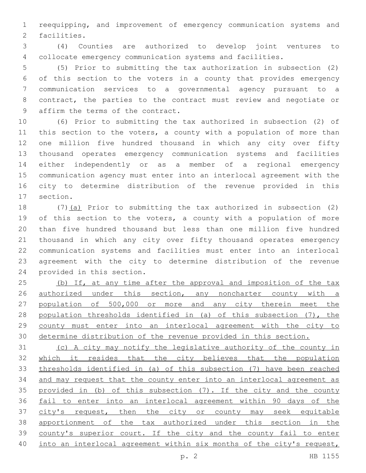reequipping, and improvement of emergency communication systems and 2 facilities.

 (4) Counties are authorized to develop joint ventures to collocate emergency communication systems and facilities.

 (5) Prior to submitting the tax authorization in subsection (2) of this section to the voters in a county that provides emergency communication services to a governmental agency pursuant to a contract, the parties to the contract must review and negotiate or 9 affirm the terms of the contract.

 (6) Prior to submitting the tax authorized in subsection (2) of 11 this section to the voters, a county with a population of more than one million five hundred thousand in which any city over fifty thousand operates emergency communication systems and facilities either independently or as a member of a regional emergency communication agency must enter into an interlocal agreement with the city to determine distribution of the revenue provided in this 17 section.

 (7)(a) Prior to submitting the tax authorized in subsection (2) 19 of this section to the voters, a county with a population of more than five hundred thousand but less than one million five hundred thousand in which any city over fifty thousand operates emergency communication systems and facilities must enter into an interlocal agreement with the city to determine distribution of the revenue 24 provided in this section.

25 (b) If, at any time after the approval and imposition of the tax 26 <u>authorized under this section, any noncharter county with a</u> population of 500,000 or more and any city therein meet the 28 population thresholds identified in (a) of this subsection (7), the county must enter into an interlocal agreement with the city to determine distribution of the revenue provided in this section.

 (c) A city may notify the legislative authority of the county in which it resides that the city believes that the population thresholds identified in (a) of this subsection (7) have been reached and may request that the county enter into an interlocal agreement as provided in (b) of this subsection (7). If the city and the county fail to enter into an interlocal agreement within 90 days of the 37 city's request, then the city or county may seek equitable apportionment of the tax authorized under this section in the county's superior court. If the city and the county fail to enter into an interlocal agreement within six months of the city's request,